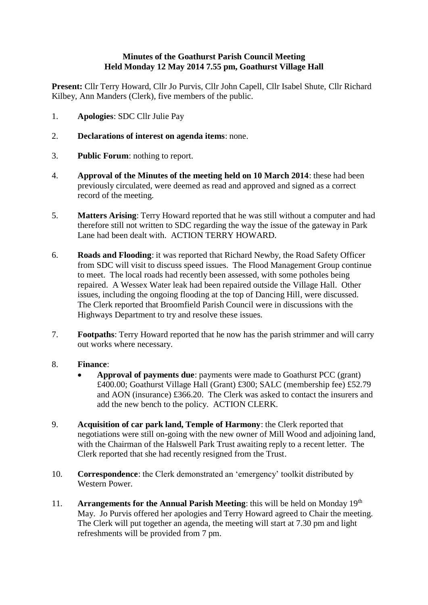## **Minutes of the Goathurst Parish Council Meeting Held Monday 12 May 2014 7.55 pm, Goathurst Village Hall**

**Present:** Cllr Terry Howard, Cllr Jo Purvis, Cllr John Capell, Cllr Isabel Shute, Cllr Richard Kilbey, Ann Manders (Clerk), five members of the public.

- 1. **Apologies**: SDC Cllr Julie Pay
- 2. **Declarations of interest on agenda items**: none.
- 3. **Public Forum**: nothing to report.
- 4. **Approval of the Minutes of the meeting held on 10 March 2014**: these had been previously circulated, were deemed as read and approved and signed as a correct record of the meeting.
- 5. **Matters Arising**: Terry Howard reported that he was still without a computer and had therefore still not written to SDC regarding the way the issue of the gateway in Park Lane had been dealt with. ACTION TERRY HOWARD.
- 6. **Roads and Flooding**: it was reported that Richard Newby, the Road Safety Officer from SDC will visit to discuss speed issues. The Flood Management Group continue to meet. The local roads had recently been assessed, with some potholes being repaired. A Wessex Water leak had been repaired outside the Village Hall. Other issues, including the ongoing flooding at the top of Dancing Hill, were discussed. The Clerk reported that Broomfield Parish Council were in discussions with the Highways Department to try and resolve these issues.
- 7. **Footpaths**: Terry Howard reported that he now has the parish strimmer and will carry out works where necessary.

## 8. **Finance**:

- **Approval of payments due**: payments were made to Goathurst PCC (grant) £400.00; Goathurst Village Hall (Grant) £300; SALC (membership fee) £52.79 and AON (insurance) £366.20. The Clerk was asked to contact the insurers and add the new bench to the policy. ACTION CLERK.
- 9. **Acquisition of car park land, Temple of Harmony**: the Clerk reported that negotiations were still on-going with the new owner of Mill Wood and adjoining land, with the Chairman of the Halswell Park Trust awaiting reply to a recent letter. The Clerk reported that she had recently resigned from the Trust.
- 10. **Correspondence**: the Clerk demonstrated an 'emergency' toolkit distributed by Western Power.
- 11. **Arrangements for the Annual Parish Meeting**: this will be held on Monday  $19<sup>th</sup>$ May. Jo Purvis offered her apologies and Terry Howard agreed to Chair the meeting. The Clerk will put together an agenda, the meeting will start at 7.30 pm and light refreshments will be provided from 7 pm.